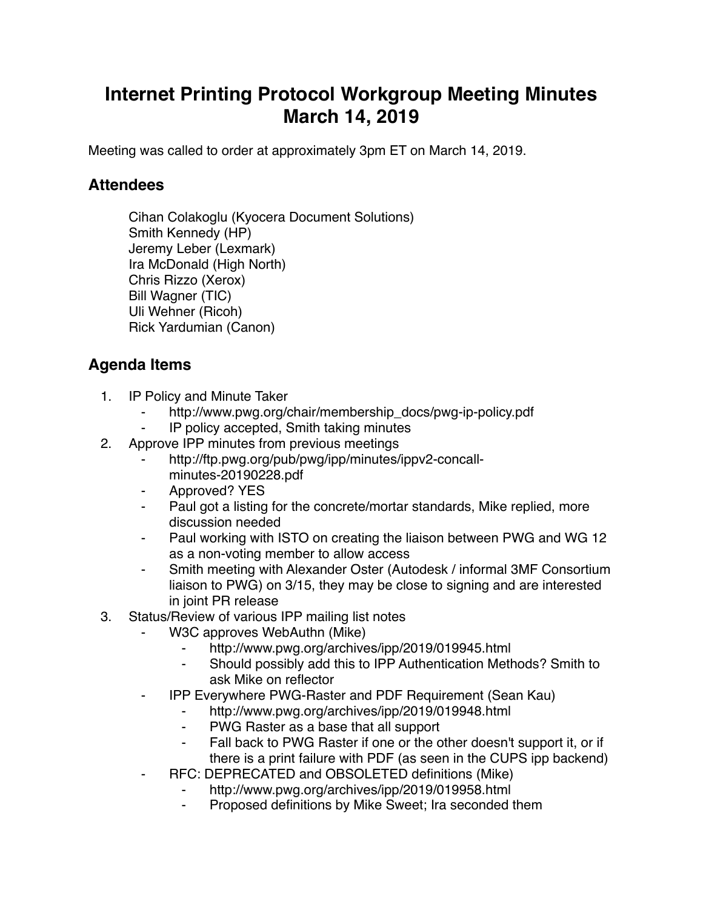## **Internet Printing Protocol Workgroup Meeting Minutes March 14, 2019**

Meeting was called to order at approximately 3pm ET on March 14, 2019.

## **Attendees**

Cihan Colakoglu (Kyocera Document Solutions) Smith Kennedy (HP) Jeremy Leber (Lexmark) Ira McDonald (High North) Chris Rizzo (Xerox) Bill Wagner (TIC) Uli Wehner (Ricoh) Rick Yardumian (Canon)

## **Agenda Items**

- 1. IP Policy and Minute Taker
	- http://www.pwg.org/chair/membership\_docs/pwg-ip-policy.pdf
	- IP policy accepted, Smith taking minutes
- 2. Approve IPP minutes from previous meetings
	- http://ftp.pwg.org/pub/pwg/ipp/minutes/ippv2-concallminutes-20190228.pdf
	- ⁃ Approved? YES
	- Paul got a listing for the concrete/mortar standards, Mike replied, more discussion needed
	- ⁃ Paul working with ISTO on creating the liaison between PWG and WG 12 as a non-voting member to allow access
	- Smith meeting with Alexander Oster (Autodesk / informal 3MF Consortium liaison to PWG) on 3/15, they may be close to signing and are interested in joint PR release
- 3. Status/Review of various IPP mailing list notes
	- W3C approves WebAuthn (Mike)
		- http://www.pwg.org/archives/ipp/2019/019945.html
		- Should possibly add this to IPP Authentication Methods? Smith to ask Mike on reflector
	- ⁃ IPP Everywhere PWG-Raster and PDF Requirement (Sean Kau)
		- http://www.pwg.org/archives/ipp/2019/019948.html
		- ⁃ PWG Raster as a base that all support
		- ⁃ Fall back to PWG Raster if one or the other doesn't support it, or if there is a print failure with PDF (as seen in the CUPS ipp backend)
	- ⁃ RFC: DEPRECATED and OBSOLETED definitions (Mike)
		- http://www.pwg.org/archives/ipp/2019/019958.html
		- ⁃ Proposed definitions by Mike Sweet; Ira seconded them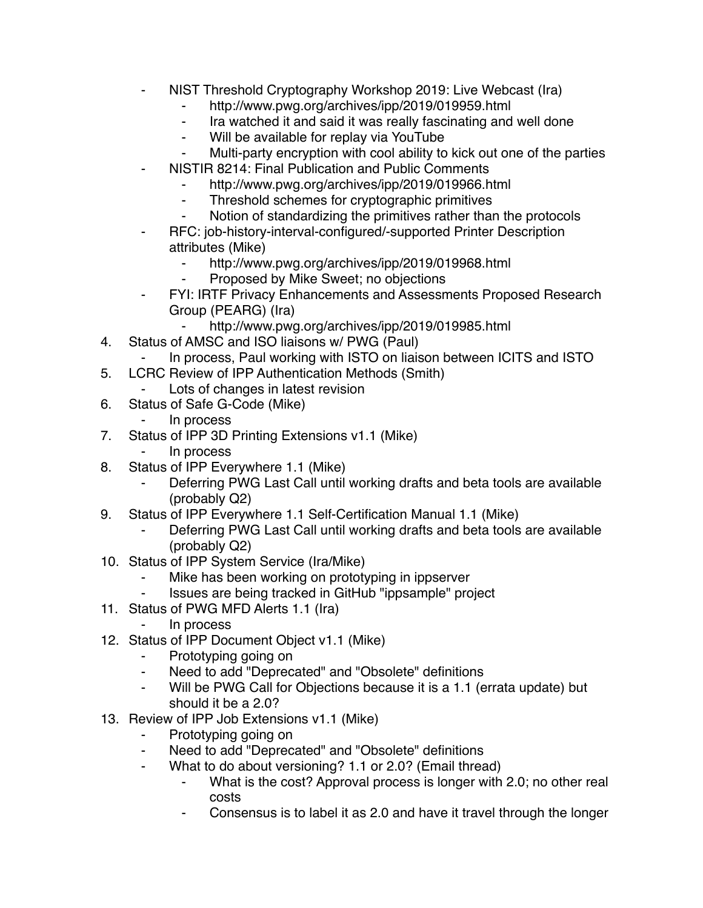- NIST Threshold Cryptography Workshop 2019: Live Webcast (Ira)
	- ⁃ http://www.pwg.org/archives/ipp/2019/019959.html
	- ⁃ Ira watched it and said it was really fascinating and well done
	- ⁃ Will be available for replay via YouTube
	- Multi-party encryption with cool ability to kick out one of the parties
- **NISTIR 8214: Final Publication and Public Comments** 
	- ⁃ http://www.pwg.org/archives/ipp/2019/019966.html
	- ⁃ Threshold schemes for cryptographic primitives
	- Notion of standardizing the primitives rather than the protocols
- RFC: job-history-interval-configured/-supported Printer Description attributes (Mike)
	- ⁃ http://www.pwg.org/archives/ipp/2019/019968.html
	- Proposed by Mike Sweet; no objections
- FYI: IRTF Privacy Enhancements and Assessments Proposed Research Group (PEARG) (Ira)
	- http://www.pwg.org/archives/ipp/2019/019985.html
- 4. Status of AMSC and ISO liaisons w/ PWG (Paul)
- In process, Paul working with ISTO on liaison between ICITS and ISTO
- 5. LCRC Review of IPP Authentication Methods (Smith)
	- Lots of changes in latest revision
- 6. Status of Safe G-Code (Mike)
	- ⁃ In process
- 7. Status of IPP 3D Printing Extensions v1.1 (Mike)
	- ⁃ In process
- 8. Status of IPP Everywhere 1.1 (Mike)
	- Deferring PWG Last Call until working drafts and beta tools are available (probably Q2)
- 9. Status of IPP Everywhere 1.1 Self-Certification Manual 1.1 (Mike)
	- Deferring PWG Last Call until working drafts and beta tools are available (probably Q2)
- 10. Status of IPP System Service (Ira/Mike)
	- Mike has been working on prototyping in ippserver
	- Issues are being tracked in GitHub "ippsample" project
- 11. Status of PWG MFD Alerts 1.1 (Ira)
	- ⁃ In process
- 12. Status of IPP Document Object v1.1 (Mike)
	- ⁃ Prototyping going on
	- ⁃ Need to add "Deprecated" and "Obsolete" definitions
	- Will be PWG Call for Objections because it is a 1.1 (errata update) but should it be a 2.0?
- 13. Review of IPP Job Extensions v1.1 (Mike)
	- ⁃ Prototyping going on
	- Need to add "Deprecated" and "Obsolete" definitions
	- ⁃ What to do about versioning? 1.1 or 2.0? (Email thread)
		- What is the cost? Approval process is longer with 2.0; no other real costs
		- Consensus is to label it as 2.0 and have it travel through the longer